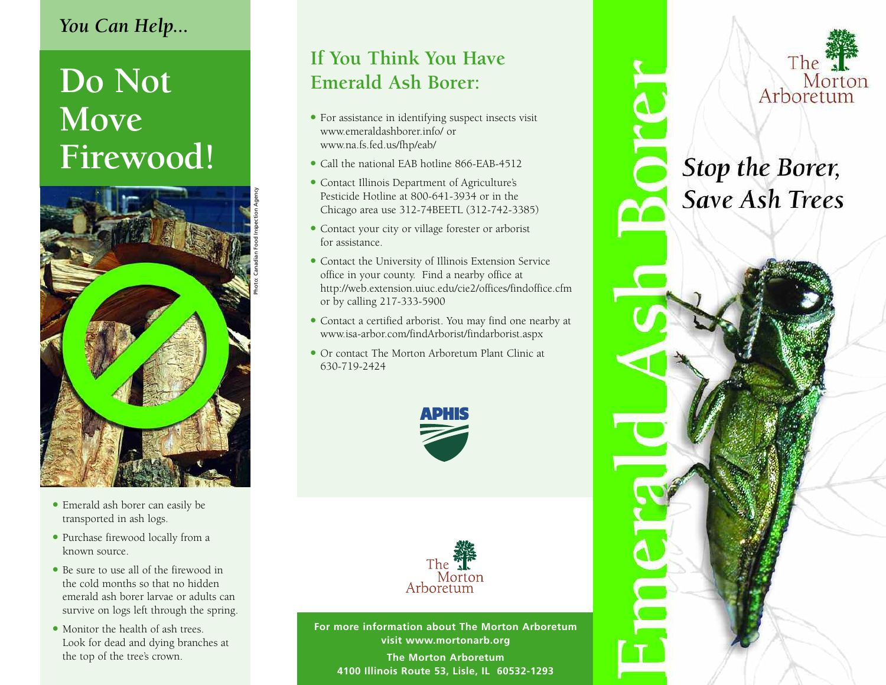# *You Can Help...*

# **Do Not Move Firewood!**



- Emerald ash borer can easily be transported in ash logs.
- Purchase firewood locally from a known source.
- Be sure to use all of the firewood in the cold months so that no hidden emerald ash borer larvae or adults can survive on logs left through the spring.
- Monitor the health of ash trees. Look for dead and dying branches at the top of the tree's crown.

# **If You Think You Have Emerald Ash Borer:**

- For assistance in identifying suspect insects visit www.emeraldashborer.info/ or www.na.fs.fed.us/fhp/eab/
- Call the national EAB hotline 866-EAB-4512
- Contact Illinois Department of Agriculture's Pesticide Hotline at 800-641-3934 or in the Chicago area use 312-74BEETL (312-742-3385)
- Contact your city or village forester or arborist for assistance.
- Contact the University of Illinois Extension Service office in your county. Find a nearby office at http://web.extension.uiuc.edu/cie2/offices/findoffice.cfm or by calling 217-333-5900
- <sup>l</sup> Contact a certified arborist. You may find one nearby at www.isa-arbor.com/findArborist/findarborist.aspx
- <sup>l</sup> Or contact The Morton Arboretum Plant Clinic at 630-719-2424





**For more information about The Morton Arboretum visit www.mortonarb.org**

**The Morton Arboretum 4100 Illinois Route 53, Lisle, IL 60532-1293**